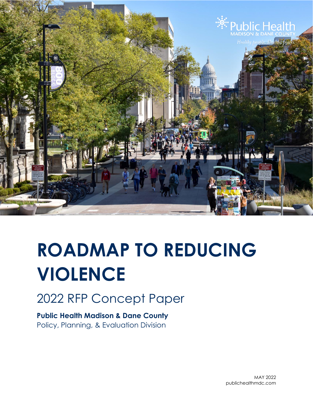

# **ROADMAP TO REDUCING VIOLENCE**

2022 RFP Concept Paper

**Public Health Madison & Dane County** Policy, Planning, & Evaluation Division

> MAY 2022 publichealthmdc.com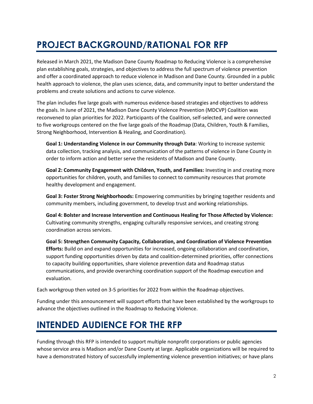# **PROJECT BACKGROUND/RATIONAL FOR RFP**

Released in March 2021, the Madison Dane County Roadmap to Reducing Violence is a comprehensive plan establishing goals, strategies, and objectives to address the full spectrum of violence prevention and offer a coordinated approach to reduce violence in Madison and Dane County. Grounded in a public health approach to violence, the plan uses science, data, and community input to better understand the problems and create solutions and actions to curve violence.

The plan includes five large goals with numerous evidence-based strategies and objectives to address the goals. In June of 2021, the Madison Dane County Violence Prevention (MDCVP) Coalition was reconvened to plan priorities for 2022. Participants of the Coalition, self-selected, and were connected to five workgroups centered on the five large goals of the Roadmap (Data, Children, Youth & Families, Strong Neighborhood, Intervention & Healing, and Coordination).

**Goal 1: Understanding Violence in our Community through Data**: Working to increase systemic data collection, tracking analysis, and communication of the patterns of violence in Dane County in order to inform action and better serve the residents of Madison and Dane County.

**Goal 2: Community Engagement with Children, Youth, and Families:** Investing in and creating more opportunities for children, youth, and families to connect to community resources that promote healthy development and engagement.

**Goal 3: Foster Strong Neighborhoods:** Empowering communities by bringing together residents and community members, including government, to develop trust and working relationships.

**Goal 4: Bolster and Increase Intervention and Continuous Healing for Those Affected by Violence:** Cultivating community strengths, engaging culturally responsive services, and creating strong coordination across services.

**Goal 5: Strengthen Community Capacity, Collaboration, and Coordination of Violence Prevention Efforts:** Build on and expand opportunities for increased, ongoing collaboration and coordination, support funding opportunities driven by data and coalition-determined priorities, offer connections to capacity building opportunities, share violence prevention data and Roadmap status communications, and provide overarching coordination support of the Roadmap execution and evaluation.

Each workgroup then voted on 3-5 priorities for 2022 from within the Roadmap objectives.

Funding under this announcement will support efforts that have been established by the workgroups to advance the objectives outlined in the Roadmap to Reducing Violence.

### **INTENDED AUDIENCE FOR THE RFP**

Funding through this RFP is intended to support multiple nonprofit corporations or public agencies whose service area is Madison and/or Dane County at large. Applicable organizations will be required to have a demonstrated history of successfully implementing violence prevention initiatives; or have plans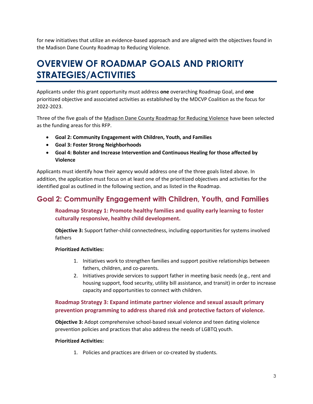for new initiatives that utilize an evidence-based approach and are aligned with the objectives found in the Madison Dane County Roadmap to Reducing Violence.

## **OVERVIEW OF ROADMAP GOALS AND PRIORITY STRATEGIES/ACTIVITIES**

Applicants under this grant opportunity must address **one** overarching Roadmap Goal, and **one**  prioritized objective and associated activities as established by the MDCVP Coalition as the focus for 2022-2023.

Three of the five goals of the Madison Dane County Roadmap for Reducing Violence have been selected as the funding areas for this RFP.

- **Goal 2: Community Engagement with Children, Youth, and Families**
- **Goal 3: Foster Strong Neighborhoods**
- **Goal 4: Bolster and Increase Intervention and Continuous Healing for those affected by Violence**

Applicants must identify how their agency would address one of the three goals listed above. In addition, the application must focus on at least one of the prioritized objectives and activities for the identified goal as outlined in the following section, and as listed in the Roadmap.

### **Goal 2: Community Engagement with Children, Youth, and Families**

#### **Roadmap Strategy 1: Promote healthy families and quality early learning to foster culturally responsive, healthy child development.**

**Objective 3:** Support father-child connectedness, including opportunities for systems involved fathers

#### **Prioritized Activities:**

- 1. Initiatives work to strengthen families and support positive relationships between fathers, children, and co-parents.
- 2. Initiatives provide services to support father in meeting basic needs (e.g., rent and housing support, food security, utility bill assistance, and transit) in order to increase capacity and opportunities to connect with children.

#### **Roadmap Strategy 3: Expand intimate partner violence and sexual assault primary prevention programming to address shared risk and protective factors of violence.**

**Objective 3:** Adopt comprehensive school-based sexual violence and teen dating violence prevention policies and practices that also address the needs of LGBTQ youth.

#### **Prioritized Activities:**

1. Policies and practices are driven or co-created by students.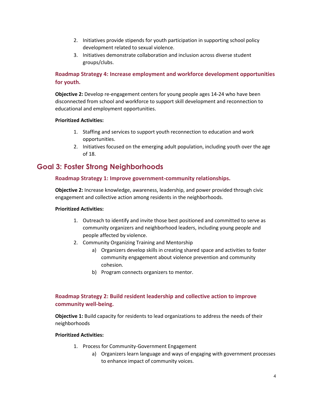- 2. Initiatives provide stipends for youth participation in supporting school policy development related to sexual violence.
- 3. Initiatives demonstrate collaboration and inclusion across diverse student groups/clubs.

#### **Roadmap Strategy 4: Increase employment and workforce development opportunities for youth.**

**Objective 2:** Develop re-engagement centers for young people ages 14-24 who have been disconnected from school and workforce to support skill development and reconnection to educational and employment opportunities.

#### **Prioritized Activities:**

- 1. Staffing and services to support youth reconnection to education and work opportunities.
- 2. Initiatives focused on the emerging adult population, including youth over the age of 18.

### **Goal 3: Foster Strong Neighborhoods**

#### **Roadmap Strategy 1: Improve government-community relationships.**

**Objective 2:** Increase knowledge, awareness, leadership, and power provided through civic engagement and collective action among residents in the neighborhoods.

#### **Prioritized Activities:**

- 1. Outreach to identify and invite those best positioned and committed to serve as community organizers and neighborhood leaders, including young people and people affected by violence.
- 2. Community Organizing Training and Mentorship
	- a) Organizers develop skills in creating shared space and activities to foster community engagement about violence prevention and community cohesion.
	- b) Program connects organizers to mentor.

#### **Roadmap Strategy 2: Build resident leadership and collective action to improve community well-being.**

**Objective 1:** Build capacity for residents to lead organizations to address the needs of their neighborhoods

#### **Prioritized Activities:**

- 1. Process for Community-Government Engagement
	- a) Organizers learn language and ways of engaging with government processes to enhance impact of community voices.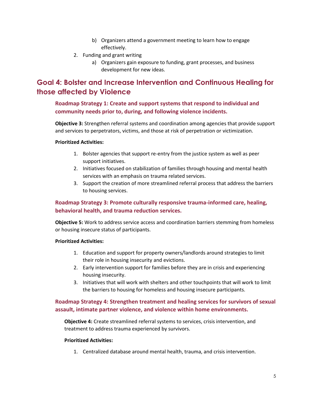- b) Organizers attend a government meeting to learn how to engage effectively.
- 2. Funding and grant writing
	- a) Organizers gain exposure to funding, grant processes, and business development for new ideas.

### **Goal 4: Bolster and Increase Intervention and Continuous Healing for those affected by Violence**

#### **Roadmap Strategy 1: Create and support systems that respond to individual and community needs prior to, during, and following violence incidents.**

**Objective 3:** Strengthen referral systems and coordination among agencies that provide support and services to perpetrators, victims, and those at risk of perpetration or victimization.

#### **Prioritized Activities:**

- 1. Bolster agencies that support re-entry from the justice system as well as peer support initiatives.
- 2. Initiatives focused on stabilization of families through housing and mental health services with an emphasis on trauma related services.
- 3. Support the creation of more streamlined referral process that address the barriers to housing services.

#### **Roadmap Strategy 3: Promote culturally responsive trauma-informed care, healing, behavioral health, and trauma reduction services.**

**Objective 5:** Work to address service access and coordination barriers stemming from homeless or housing insecure status of participants.

#### **Prioritized Activities:**

- 1. Education and support for property owners/landlords around strategies to limit their role in housing insecurity and evictions.
- 2. Early intervention support for families before they are in crisis and experiencing housing insecurity.
- 3. Initiatives that will work with shelters and other touchpoints that will work to limit the barriers to housing for homeless and housing insecure participants.

#### **Roadmap Strategy 4: Strengthen treatment and healing services for survivors of sexual assault, intimate partner violence, and violence within home environments.**

**Objective 4:** Create streamlined referral systems to services, crisis intervention, and treatment to address trauma experienced by survivors.

#### **Prioritized Activities:**

1. Centralized database around mental health, trauma, and crisis intervention.